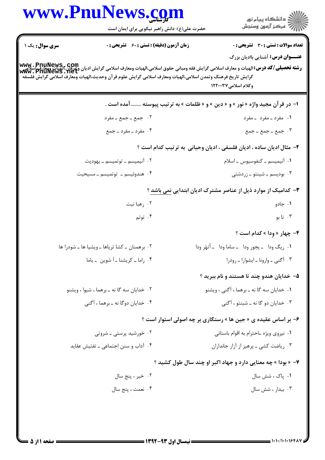|                | www.PnuNews.com                                                                                            |                                                                                                                                                                           |
|----------------|------------------------------------------------------------------------------------------------------------|---------------------------------------------------------------------------------------------------------------------------------------------------------------------------|
|                | حضرت علی(ع): دانش راهبر نیکویی برای ایمان است                                                              | ر<br>دانشڪاه پيام نور)<br>سرڪز آزمون وسنڊش                                                                                                                                |
| سری سوال: یک ۱ | <b>زمان آزمون (دقیقه) : تستی : 60 ٪ تشریحی : 0</b>                                                         | <b>تعداد سوالات : تستی : 30 ٪ تشریحی : 0</b>                                                                                                                              |
|                |                                                                                                            | <b>عنـــوان درس:</b> آشنایی باادیان بزرگ                                                                                                                                  |
|                | گرايش تاريخ فرهنگ وتمدن اسلامي،الهيات ومعارف اسلامي گرايش علوم قرآن وحديث،الهيات ومعارف اسلامي گرايش فلسفه | www . PnuNews , com<br>  <b>رشته تحصیلی/کد درس:</b> الهیات و معارف اسلامی گرایش فقه ومبانی حقوق اسلامی،الهیات ومعارف اسلامی گرایش ادیان وعوی این<br>  www . PnuNews . net |
|                |                                                                                                            | وكلام اسلامى٧٧٢٠٠٣٧                                                                                                                                                       |
|                |                                                                                                            | ا– در قرآن مجید واژه « نور » و « دین » و « ظلمات » به ترتیب پیوسته آمده است .                                                                                             |
|                | ۰۲ جمع ـ جمع ـ مفرد                                                                                        | ۰۱ مفرد ـ مفرد ـ مفرد                                                                                                                                                     |
|                | ۰۴ مفرد ـ مفرد ـ جمع                                                                                       | ۰۳ جمع ـ جمع ـ جمع                                                                                                                                                        |
|                |                                                                                                            | ۲- مثال ادیان ساده ، ادیان فلسفی ، ادیان وحیانی به ترتیب کدام است ؟                                                                                                       |
|                | ۰۲ آنیمیسم ــ توتمیسم ــ یهودیت                                                                            | ۰۱ آنیمیسم ــ کنفوسیوس ــ اسلام                                                                                                                                           |
|                | ۰۴ هندوئیسم ـ توتمیسم ـ مسیحیت                                                                             | ۰۳ بودیسم ــ شینتو ــ زردشتی                                                                                                                                              |
|                |                                                                                                            | ۳- کدامیک از موارد ذیل از عناصر مشترک ادیان ابتدایی نمی باشد ؟                                                                                                            |
|                | ۰۲ رهبا نیت                                                                                                | ۰۱ جادو                                                                                                                                                                   |
|                | ۰۴ توتم                                                                                                    | ۰۳ تا بو                                                                                                                                                                  |
|                |                                                                                                            | <b>۴</b> - چهار « وِدا » کدام است ؟                                                                                                                                       |
|                | ٢. برهمنان ــ كشا ترياها ــ ويشيا ها ــ شودرا ها                                                           | ٠١ ريگ ودا - يجور ودا - ساما ودا - أتهَر ودا                                                                                                                              |
|                | ۰۴ راما ـ كريشنا ـ أشوين بـ ياما                                                                           | ۰۳ آگنی - وارونا - ایشوارا - رودرا                                                                                                                                        |
|                |                                                                                                            | ۵– خدایان هندو چند تا هستند و نام ببرید ؟                                                                                                                                 |
|                | ۰۲ خدایان سه گا نه ـ برهما ، شیوا ، ویشنو                                                                  | ۰۱ خدایان سه گا نه ـ برهما ، آگنی ، ویشنو                                                                                                                                 |
|                | ۰۴ خدایان دوگا نه ـ برهما ، آگنی                                                                           | ۰۳ خدایان دو گا نه ـ شبنتو ، آگنی                                                                                                                                         |
|                |                                                                                                            | ۶- بر اساس عقیده ی « جین ها » رستگاری بر چه اصولی استوار است ؟                                                                                                            |
|                | ۰۲ خورشید پرستی ـ شروتی                                                                                    | ۰۱ نیروی ویژه ـاحترام به اقوام باستانی                                                                                                                                    |
|                | ۰۴ آداب و سنن اجتماعی ــ تفتیش عقاید                                                                       | ۰۳ ریاضت کشی ــ پرهیز از آزار جانداران                                                                                                                                    |
|                |                                                                                                            | ۷- « بودا » چه معنایی دارد و جهاد اکبر او چند سال طول کشید ؟                                                                                                              |
|                | ۰۲ خیر ، پنج سال                                                                                           | ۰۱ پاک ، شش سال                                                                                                                                                           |
|                | ۰۴ نعمت ، پنج سال                                                                                          | ۰۳ بیدار ، شش سال                                                                                                                                                         |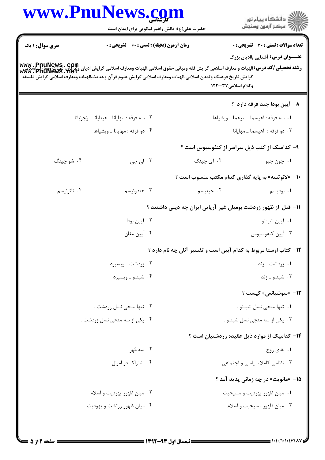|                        | www.PnuNews.com                                                                                                                                                                                                                                                                            |                                                                  | ِ<br>∭ دانشڪاه پيام نور<br>∭ مرڪز آزمون وسنڊش |
|------------------------|--------------------------------------------------------------------------------------------------------------------------------------------------------------------------------------------------------------------------------------------------------------------------------------------|------------------------------------------------------------------|-----------------------------------------------|
|                        | حضرت علی(ع): دانش راهبر نیکویی برای ایمان است                                                                                                                                                                                                                                              |                                                                  |                                               |
| <b>سری سوال : ۱ یک</b> | <b>زمان آزمون (دقیقه) : تستی : 60 ٪ تشریحی : 0</b>                                                                                                                                                                                                                                         |                                                                  | <b>تعداد سوالات : تستی : 30 ٪ تشریحی : 0</b>  |
|                        |                                                                                                                                                                                                                                                                                            |                                                                  | <b>عنـــوان درس:</b> آشنایی باادیان بزرگ      |
|                        | www . PnuNews , com<br>و <b>شته تحصیلی/کد درس:</b> الهیات و معارف اسلامی گرایش فقه ومبانی حقوق اسلامی،الهیات ومعارف اسلامی گرایش دیگان،الهیات ومعارف<br> www . PnuNews . net<br>گرایش تاریخ فرهنگ وتمدن اسلامی،الهیات ومعارف اسلامی گرایش علوم قرآن وحدیث،الهیات ومعارف اسلامی گرایش فلسفه |                                                                  |                                               |
|                        |                                                                                                                                                                                                                                                                                            | وكلام اسلامى٧٧٢٠٠٣٧                                              |                                               |
|                        |                                                                                                                                                                                                                                                                                            |                                                                  | ۸– آیین بودا چند فرقه دارد ؟                  |
|                        | ٠٢ سه فرقه : مهايانا ـ هينايانا ـ وَجرَيانا                                                                                                                                                                                                                                                |                                                                  | ٠١ سه فرقه : أهيسما - برهما - ويشياها         |
|                        | ۰۴ دو فرقه : مهايانا ــ ويشياها                                                                                                                                                                                                                                                            |                                                                  | ۰۳ دو فرقه : اَهیسما ـ مهایانا                |
|                        |                                                                                                                                                                                                                                                                                            |                                                                  | ۹– کدامیک از کتب ذیل سراسر از کنفوسیوس است ؟  |
| ۰۴ شو چینگ             | ۰۳ لی چی                                                                                                                                                                                                                                                                                   | ۰۲ ای چینگ                                                       | ۰۱ چون چيو                                    |
|                        |                                                                                                                                                                                                                                                                                            | ۰۱- «لائوتسه» به پایه گذاری کدام مکتب منسوب است ؟                |                                               |
| ۰۴ تاتوئیسم            | ۰۳ هندوئيسم                                                                                                                                                                                                                                                                                | ۰۲ جینیسم                                                        | ۰۱ بودیسم                                     |
|                        |                                                                                                                                                                                                                                                                                            | 1۱– قبل از ظهور زردشت بومیان غیر آریایی ایران چه دینی داشتند ؟   |                                               |
|                        | ۰۲ آيين بودا                                                                                                                                                                                                                                                                               |                                                                  | ۰۱ آيين شينتو                                 |
|                        | ۰۴ آيين مغان                                                                                                                                                                                                                                                                               |                                                                  | ۰۳ آيين كنفوسيوس                              |
|                        |                                                                                                                                                                                                                                                                                            | ۱۲- کتاب اوستا مربوط به کدام آیین است و تفسیر آنان چه نام دارد ؟ |                                               |
|                        | ۰۲ زردشت ــ ویسپرد                                                                                                                                                                                                                                                                         |                                                                  | ۰۱ زردشت ـ زند                                |
|                        | ۰۴ شینتو ـ ویسپرد                                                                                                                                                                                                                                                                          |                                                                  | ۰۳ شینتو ـ زند                                |
|                        |                                                                                                                                                                                                                                                                                            |                                                                  | 13- «سوشيانس» كيست ؟                          |
|                        | ۰۲ تنها منجی نسل زردشت .                                                                                                                                                                                                                                                                   |                                                                  | ۰۱ تنها منجى نسل شينتو .                      |
|                        | ۰۴ یکی از سه منجی نسل زردشت .                                                                                                                                                                                                                                                              |                                                                  | ۰۳ یکی از سه منجی نسل شینتو .                 |
|                        |                                                                                                                                                                                                                                                                                            |                                                                  | ۰۴- کدامیک از موارد ذیل عقیده زردشتیان است ؟  |
|                        | ۲. سه مُهر                                                                                                                                                                                                                                                                                 |                                                                  | ۰۱ بقای روح                                   |
|                        | ۰۴ اشتراک در اموال                                                                                                                                                                                                                                                                         |                                                                  | ۰۳ نظامی کاملا سیاسی و اجتماعی                |
|                        |                                                                                                                                                                                                                                                                                            |                                                                  | <b>۱۵- «مانویت» در چه زمانی پدید آمد</b> ؟    |
|                        | ۰۲ میان ظهور یهودیت و اسلام                                                                                                                                                                                                                                                                |                                                                  | ۰۱ میان ظهور یهودیت و مسیحیت                  |
|                        | ۰۴ میان ظهور زرتشت و یهودیت                                                                                                                                                                                                                                                                |                                                                  | ۰۳ میان ظهور مسیحیت و اسلام                   |
|                        |                                                                                                                                                                                                                                                                                            |                                                                  |                                               |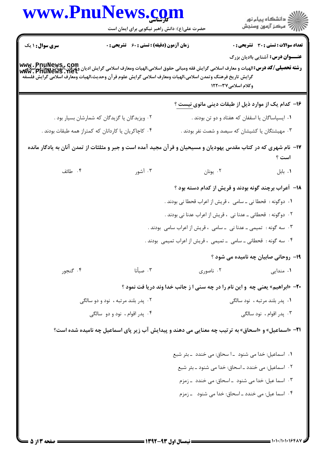|                                    | www.PnuNews.com<br>حضرت علی(ع): دانش راهبر نیکویی برای ایمان است                                                                                                            |                                                                                       |                                              |
|------------------------------------|-----------------------------------------------------------------------------------------------------------------------------------------------------------------------------|---------------------------------------------------------------------------------------|----------------------------------------------|
|                                    |                                                                                                                                                                             |                                                                                       |                                              |
| سری سوال: ۱ یک                     | زمان آزمون (دقیقه) : تستی : 60 گشریحی : 0                                                                                                                                   |                                                                                       | <b>تعداد سوالات : تستی : 30 ٪ تشریحی : 0</b> |
|                                    | www . PnuNews,. com<br> و <b>شته تحصیلی/کد درس:</b> الهیات و معارف اسلامی گرایش فقه ومبانی حقوق اسلامی،الهیات ومعارف اسلامی گرایش دیگرایشمان ومعارف<br> www . PnuNews . net |                                                                                       | <b>عنـــوان درس:</b> آشنایی باادیان بزرگ     |
|                                    | گرايش تاريخ فرهنگ وتمدن اسلامى،الهيات ومعارف اسلامى گرايش علوم قرآن وحديث،الهيات ومعارف اسلامى گرايش فلسفه                                                                  |                                                                                       |                                              |
|                                    |                                                                                                                                                                             | وكلام اسلامى١٢٢٠٠٣٧                                                                   |                                              |
|                                    |                                                                                                                                                                             | ۱۶– کدام یک از موارد ذیل از طبقات دینی مانوی نیست ؟                                   |                                              |
|                                    | ۰۲ ویزیدگان یا گزیدگان که شمارشان بسیار بود .                                                                                                                               | ۰۱ ایسپاساگان یا اسقفان که هفتاد و دو تن بودند .                                      |                                              |
|                                    | ۰۴ کاچاکریان یا کاردانان که کمتراز همه طبقات بودند .                                                                                                                        | ۰۳ مهیشتگان یا کشیشان که سیصد و شصت نفر بودند .                                       |                                              |
|                                    | ۱۷– نام شهری که در کتاب مقدس یهودیان و مسیحیان و قرآن مجید آمده است و جبر و مثلثات از تمدن آنان به یادگار مانده                                                             |                                                                                       |                                              |
|                                    |                                                                                                                                                                             |                                                                                       | است ؟                                        |
| ۰۴ طائف                            | ۰۳ آشور                                                                                                                                                                     | ۰۲ يونان                                                                              | ٠١. بابل                                     |
|                                    |                                                                                                                                                                             | <b>۱۸</b> - آعراب برچند گونه بودند و قریش از کدام دسته بود ؟                          |                                              |
|                                    |                                                                                                                                                                             | ٠١ دوگونه :  قحطا ني ــ سامي  ، قريش از اعراب قحطا ني بودند .                         |                                              |
|                                    |                                                                                                                                                                             | ۰۲ دوگونه :  قحطانی ــ عدنا نی  ، قریش از اعراب عدنا نی بودند .                       |                                              |
|                                    |                                                                                                                                                                             | ۰۳ سه گونه :  تمیمی ــ عدنا نی  ــ سامی  ، قریش از اعراب سامی  بودند .                |                                              |
|                                    |                                                                                                                                                                             | ۰۴ سه گونه :  قحطانی ــ سامی  ــ تمیمی  ، قریش از اعراب تمیمی  بودند .                |                                              |
|                                    |                                                                                                                                                                             | <b>۱۹</b> - روحانی صابیان چه نامیده می شود ؟                                          |                                              |
| ۰۴ گنجور                           | ۰۳ صبأنا                                                                                                                                                                    | ۰۲ ناصوری                                                                             | ۰۱ مندایی                                    |
|                                    |                                                                                                                                                                             | <b>۲۰</b> - «ابراهیم» یعنی چه ًو این نام را در چه سنی ا ز جانب خدا وند دریا فت نمود ؟ |                                              |
| ۰۲ پدر بلند مرتبه ، نود و دو سالگی |                                                                                                                                                                             | ۰۱ پدر بلند مرتبه ، نود سالگی                                                         |                                              |
|                                    | ۰۴ پدر اقوام ، نود و دو سالگی                                                                                                                                               |                                                                                       | ۰۳ پدر اقوام ، نود سالگی                     |
|                                    | 21- «اسماعیل» و «اسحاق» به ترتیب چه معنایی می دهند و پیدایش آب زیر پای اسماعیل چه نامیده شده است؟                                                                           |                                                                                       |                                              |
|                                    |                                                                                                                                                                             | ١. اسماعيل: خدا مي شنود _ا سحاق: مي خندد _بئر شبع                                     |                                              |
|                                    |                                                                                                                                                                             | ٢. اسماعيل: مي خندد _ اسحاق: خدا مي شنود _ بئر شبع                                    |                                              |
|                                    |                                                                                                                                                                             | ۰۳ اسما عیل: خدا می شنود _اسحاق: می خندد _زمزم                                        |                                              |
|                                    |                                                                                                                                                                             | ۰۴ اسما عیل: می خندد ـ اسحاق: خدا می شنود ـ ـ زمزم                                    |                                              |
|                                    |                                                                                                                                                                             |                                                                                       |                                              |
|                                    |                                                                                                                                                                             |                                                                                       |                                              |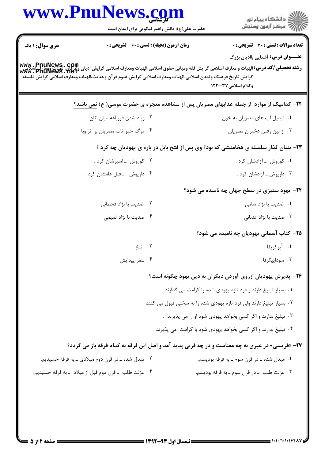|                        | www.PnuNews.com<br>حضرت علی(ع): دانش راهبر نیکویی برای ایمان است                                           | ڪ دانشڪاه پيا <sub>م</sub> نور<br>ر <i>7</i> مرڪز آزمون وسنڊش                                                                                                                                                  |
|------------------------|------------------------------------------------------------------------------------------------------------|----------------------------------------------------------------------------------------------------------------------------------------------------------------------------------------------------------------|
| <b>سری سوال : ۱ یک</b> | <b>زمان آزمون (دقیقه) : تستی : 60 ٪ تشریحی : 0</b>                                                         | <b>تعداد سوالات : تستی : 30 ٪ تشریحی : 0</b><br><b>عنـــوان درس:</b> آشنایی باادیان بزرگ                                                                                                                       |
|                        | گرايش تاريخ فرهنگ وتمدن اسلامي،الهيات ومعارف اسلامي گرايش علوم قرآن وحديث،الهيات ومعارف اسلامي گرايش فلسفه | <b>www . PnuNews , com</b><br><b>رشته تحصیلی/کد درس:</b> الهیات و معارف اسلامی گرایش فقه ومبانی حقوق اسلامی،الهیات ومعارف اسلامی گرایش ادیان وعرفان،الهیات ویعارف<br>Www . PnuNewS . Net<br>وكلام اسلامى٧٢٠٠٣٧ |
|                        |                                                                                                            | <b>۲۲</b> – کدامیک از موارد  از جمله عذابهای مصریان پس از مشاهده معجزه ی حضرت موسی( ع) <u>نمی</u> باشد؟                                                                                                        |
|                        | ۰۲ زياد شدن قورباغه ميان آنان                                                                              | ٠١ تبديل آب هاي مصريان به خون                                                                                                                                                                                  |
|                        | ۰۴ مرگ حیوا نات مصریان بر اثر وبا                                                                          | ۰۳ از بین رفتن دختران مصریان                                                                                                                                                                                   |
|                        |                                                                                                            | ۲۳- بنیان گذار سلسله ی هخامنشی که بود؟ وی پس از فتح بابل در باره ی یهودیان چه کرد ؟                                                                                                                            |
|                        | ۰۲ کوروش -اسیرشان کرد.                                                                                     | ۰۱ کوروش - آزادشان کرد .                                                                                                                                                                                       |
|                        | ۰۴ داریوش - قتل عامشان کرد .                                                                               | ۰۳ داریوش ـ آزادشان کرد .                                                                                                                                                                                      |
|                        |                                                                                                            | <b>۲۴</b> - یهود ستیزی در سطح جهان چه نامیده می شود؟                                                                                                                                                           |
|                        | ۰۲ ضدیت با نژاد قحطانی                                                                                     | ۰۱ ضدیت با نژاد سامی                                                                                                                                                                                           |
|                        | ۰۴ ضدیت با نژاد تمیمی                                                                                      | ۰۳ ضدیت با نژاد عدنانی                                                                                                                                                                                         |
|                        |                                                                                                            | ۲۵– کتاب آسمانی یهودیان چه نامیده می شود؟                                                                                                                                                                      |
|                        | ٢. تَنَخ                                                                                                   | ٠١. أپوكريفا                                                                                                                                                                                                   |
|                        | ۰۴ سفر پیدایش                                                                                              | ۰۳ سوداپیگرفا                                                                                                                                                                                                  |
|                        |                                                                                                            | ۲۶- پذیرش یهودیان ازروی آوردن دیگران به دین یهود چگونه است؟                                                                                                                                                    |
|                        |                                                                                                            | ۰۱ بسیار تبلیغ دارند و فرد تازه یهودی شده را کرامت می گذارند .                                                                                                                                                 |
|                        |                                                                                                            | ۰۲ بسیار تبلیغ دارند ولی فرد تازه یهودی شده را به سختی قبول می کنند .                                                                                                                                          |
|                        |                                                                                                            | ۰۳ تبلیغ ندارند و اگر کسی بخواهد یهودی شود او را می پذیرند .                                                                                                                                                   |
|                        |                                                                                                            | ۰۴ تبلیغ ندارند و اگر کسی بخواهد یهودی شود با کراهت  می پذیرند .                                                                                                                                               |
|                        |                                                                                                            | <b>۲۷</b> - «فریسی» در عبری به چه معناست و در چه قرنی پدید آمد و اصل این فرقه به کدام فرقه باز می گردد؟                                                                                                        |
|                        | ۰۲ مبدل شده ـ در قرن دوم میلادی ـ به فرقه حسیدیم.                                                          | ۰۱ مبدل شده ــ در قرن سوم ــ به فرقه بوديسم.                                                                                                                                                                   |
|                        | ۰۴ عزلت طلب _ قرن دوم قبل از ميلاد _به فرقه حسيديم.                                                        | ۰۳ عزلت طلب _در قرن سوم _به فرقه بوديسم.                                                                                                                                                                       |